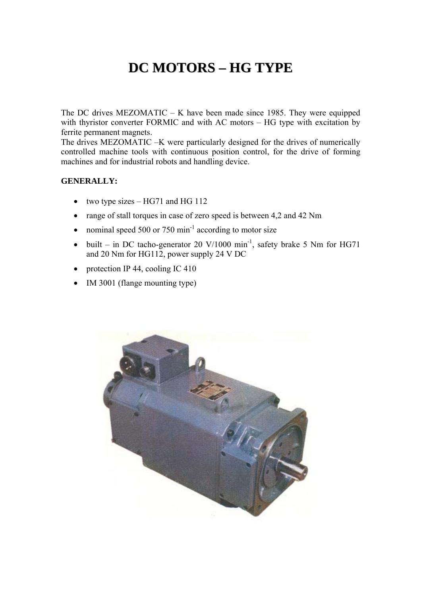## **DC MOTORS – HG TYPE**

The DC drives MEZOMATIC – K have been made since 1985. They were equipped with thyristor converter FORMIC and with AC motors – HG type with excitation by ferrite permanent magnets.

The drives MEZOMATIC –K were particularly designed for the drives of numerically controlled machine tools with continuous position control, for the drive of forming machines and for industrial robots and handling device.

## **GENERALLY:**

- two type sizes  $-$  HG71 and HG 112
- range of stall torques in case of zero speed is between 4,2 and 42 Nm
- nominal speed 500 or 750  $\text{min}^{-1}$  according to motor size
- built in DC tacho-generator 20 V/1000 min<sup>-1</sup>, safety brake 5 Nm for HG71 and 20 Nm for HG112, power supply 24 V DC
- protection IP 44, cooling IC 410
- IM 3001 (flange mounting type)

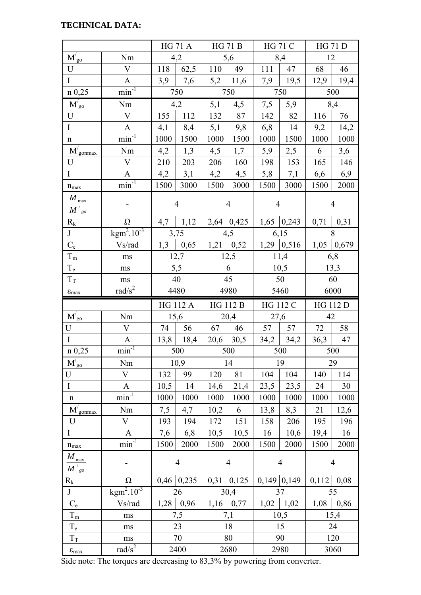## **TECHNICAL DATA:**

|                                          |                                     |                | <b>HG 71 A</b>     |                 | <b>HG 71 B</b>   | <b>HG 71 C</b> |                | <b>HG 71 D</b>  |                |  |
|------------------------------------------|-------------------------------------|----------------|--------------------|-----------------|------------------|----------------|----------------|-----------------|----------------|--|
| $M'_{g0}$                                | Nm                                  | 4,2            |                    |                 | 5,6              |                | 8,4            | 12              |                |  |
| U                                        | $\mathbf V$                         | 118            | 62,5               | 110             | 49               | 111            | 47             | 68              | 46             |  |
| $\mathbf I$                              | $\mathbf{A}$                        | 3,9            | 7,6                |                 | $5,2$   11,6     | 7,9            | 19,5           |                 | $12,9$ 19,4    |  |
| $n \, 0,25$                              | $\overline{\text{min}^{-1}}$        | 750            |                    |                 | 750              |                | 750            | 500             |                |  |
| $\overline{M'_{go}}$                     | Nm                                  | 4,2            |                    | 5,1<br>4,5      |                  | 7,5            | 5,9            | 8,4             |                |  |
| U                                        | $\mathbf V$                         | 155<br>112     |                    | 132             | 87               | 142            | 82             | 116             | 76             |  |
| $\mathbf I$                              | $\mathbf{A}$                        | 4,1            | 8,4                | 5,1             | $9,8$            | 6,8            | 14             | 9,2             | 14,2           |  |
| $\mathbf n$                              | $min^{-1}$                          | 1000           | 1500               | 1000            | 1500             | 1000           | 1500           | 1000            | 1000           |  |
| $\overline{\mathbf{M}}'_{\text{gonmax}}$ | Nm                                  | 4,2            | 1,3                | 4,5             | 1,7              | 5,9            | 2,5            | 6               | 3,6            |  |
| U                                        | $\mathbf V$                         | 210            | 203                | 206             | 160              | 198            | 153            | 165             | 146            |  |
| $\mathbf I$                              | $\mathbf{A}$                        | 4,2            | 3,1                | 4,2             | 4,5              | 5,8            | 7,1            | 6,6             | 6,9            |  |
| $n_{\rm max}$                            | $\overline{\text{min}^{\text{-}1}}$ | 1500           | 3000               | 1500            | 3000             | 1500           | 3000           | 1500            | 2000           |  |
| $M_{\rm max}$<br>$M'{}_{go}$             |                                     | $\overline{4}$ |                    |                 | $\overline{4}$   | $\overline{4}$ |                | $\overline{4}$  |                |  |
| $R_{k}$                                  | $\Omega$                            | 4,7<br>1,12    |                    |                 | $2,64$ 0,425     |                | $1,65$ 0,243   | 0,71<br>0,31    |                |  |
| J                                        | $\text{kgm}^2.10^{-3}$              | 3,75           |                    |                 | 4,5              |                | 6,15           | 8               |                |  |
| $C_{\rm e}$                              | Vs/rad                              |                | $1,3$   0,65       |                 | $1,21 \mid 0,52$ |                | $1,29$ 0.516   | $1,05$ 0.679    |                |  |
| $T_{\rm m}$                              | ms                                  |                | 12,7               |                 | 12,5             |                | 11,4           |                 | 6,8            |  |
| $T_{\rm e}$                              | $\rm ms$                            |                | 5,5                |                 | 6                |                | 10,5           | 13,3            |                |  |
| $T_{\rm T}$                              | ms                                  | 40             |                    | 45              |                  |                | 50             | 60              |                |  |
| $\epsilon_{max}$                         | rad/ $s^2$                          | 4480           |                    | 4980            |                  |                | 5460           | 6000            |                |  |
|                                          |                                     |                |                    |                 |                  |                |                |                 |                |  |
|                                          |                                     |                | HG 112 A           | <b>HG 112 B</b> |                  | HG 112 C       |                | <b>HG 112 D</b> |                |  |
| $M'_{\text{go}}$                         | Nm                                  | 15,6           |                    |                 | 20,4             | 27,6           |                | 42              |                |  |
| U                                        | V                                   |                | 74   56            |                 | 67   46          |                | 57   57        | 72              | 58             |  |
| $\bf I$                                  | $\mathbf{A}$                        |                | $13,8$ 18,4        |                 | $20,6$ 30,5      |                | $34,2$ 34,2    | 36,3            | 47             |  |
| $n \, 0,25$                              | $min^{-1}$                          |                | 500                |                 | 500              |                | 500            |                 | 500            |  |
| $M'_{\text{go}}$                         | Nm                                  |                | 10,9               |                 | 14               |                | 19             |                 | 29             |  |
| $\mathbf U$                              | $\bar{\mathrm{V}}$                  | 132            | 99                 | 120             | 81               | 104            | 104            | 140             | 114            |  |
| $\mathbf I$                              | A                                   | 10,5           | 14                 | 14,6            | 21,4             | 23,5           | 23,5           | 24              | 30             |  |
| $\mathbf n$                              | $\overline{\text{min}^{-1}}$        | 1000           | 1000               | 1000            | 1000             | 1000           | 1000           | 1000            | 1000           |  |
| $M'_{\text{gonmax}}$                     | Nm                                  | 7,5            | 4,7                | 10,2            | 6                | 13,8           | 8,3            | 21              | 12,6           |  |
| U                                        | $\bar{V}$                           | 193            | 194                | 172             | 151              | 158            | 206            | 195             | 196            |  |
| $\mathbf I$                              | $\mathbf{A}$                        | 7,6            | 6,8                | 10,5            | 10,5             | 16             | 10,6           | 19,4            | 16             |  |
| $n_{max}$                                | $\overline{\text{min}^{-1}}$        | 1500           | 2000               | 1500            | 2000             | 1500           | 2000           | 1500            | 2000           |  |
| $M_{\frac{max}{}}$                       |                                     |                | $\overline{4}$     |                 | $\overline{4}$   |                | $\overline{4}$ |                 | $\overline{4}$ |  |
| $M'{}_{go}$                              | $\Omega$                            |                |                    |                 |                  |                | $0,149$ 0,149  | 0,112           | 0,08           |  |
| $R_{k}$<br>$\bf J$                       | $\overline{\text{kgm}^2.10^{-3}}$   |                | $0,46$ 0,235<br>26 | 0,31            | 0,125<br>30,4    |                | 37             |                 | 55             |  |
| $C_{\rm e}$                              | Vs/rad                              | 1,28           | 0,96               | 1,16            | 0,77             | 1,02           | 1,02           | 1,08            | 0,86           |  |
| $T_{\rm m}$                              | ms                                  |                | 7,5                |                 | 7,1              |                | 10,5           |                 | 15,4           |  |
| $T_{\text{e}}$                           | ms                                  |                | 23                 |                 | 18               |                | 15             |                 | 24             |  |
| $T_{\rm T}$                              | ms                                  |                | 70                 |                 | 80               |                | 90             |                 | 120            |  |

Side note: The torques are decreasing to 83,3% by powering from converter.